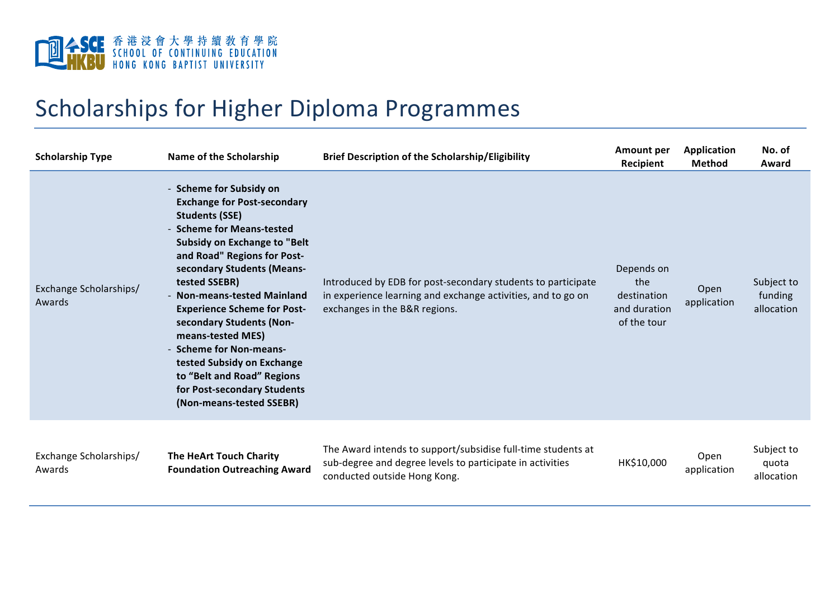

## Scholarships for Higher Diploma Programmes

| <b>Scholarship Type</b>          | Name of the Scholarship                                                                                                                                                                                                                                                                                                                                                                                                                                                                                               | <b>Brief Description of the Scholarship/Eligibility</b>                                                                                                       | <b>Amount per</b><br>Recipient                                  | <b>Application</b><br><b>Method</b> | No. of<br>Award                     |
|----------------------------------|-----------------------------------------------------------------------------------------------------------------------------------------------------------------------------------------------------------------------------------------------------------------------------------------------------------------------------------------------------------------------------------------------------------------------------------------------------------------------------------------------------------------------|---------------------------------------------------------------------------------------------------------------------------------------------------------------|-----------------------------------------------------------------|-------------------------------------|-------------------------------------|
| Exchange Scholarships/<br>Awards | - Scheme for Subsidy on<br><b>Exchange for Post-secondary</b><br><b>Students (SSE)</b><br>- Scheme for Means-tested<br><b>Subsidy on Exchange to "Belt</b><br>and Road" Regions for Post-<br>secondary Students (Means-<br>tested SSEBR)<br><b>Non-means-tested Mainland</b><br><b>Experience Scheme for Post-</b><br>secondary Students (Non-<br>means-tested MES)<br>- Scheme for Non-means-<br>tested Subsidy on Exchange<br>to "Belt and Road" Regions<br>for Post-secondary Students<br>(Non-means-tested SSEBR) | Introduced by EDB for post-secondary students to participate<br>in experience learning and exchange activities, and to go on<br>exchanges in the B&R regions. | Depends on<br>the<br>destination<br>and duration<br>of the tour | Open<br>application                 | Subject to<br>funding<br>allocation |
| Exchange Scholarships/<br>Awards | The HeArt Touch Charity<br><b>Foundation Outreaching Award</b>                                                                                                                                                                                                                                                                                                                                                                                                                                                        | The Award intends to support/subsidise full-time students at<br>sub-degree and degree levels to participate in activities<br>conducted outside Hong Kong.     | HK\$10,000                                                      | Open<br>application                 | Subject to<br>quota<br>allocation   |